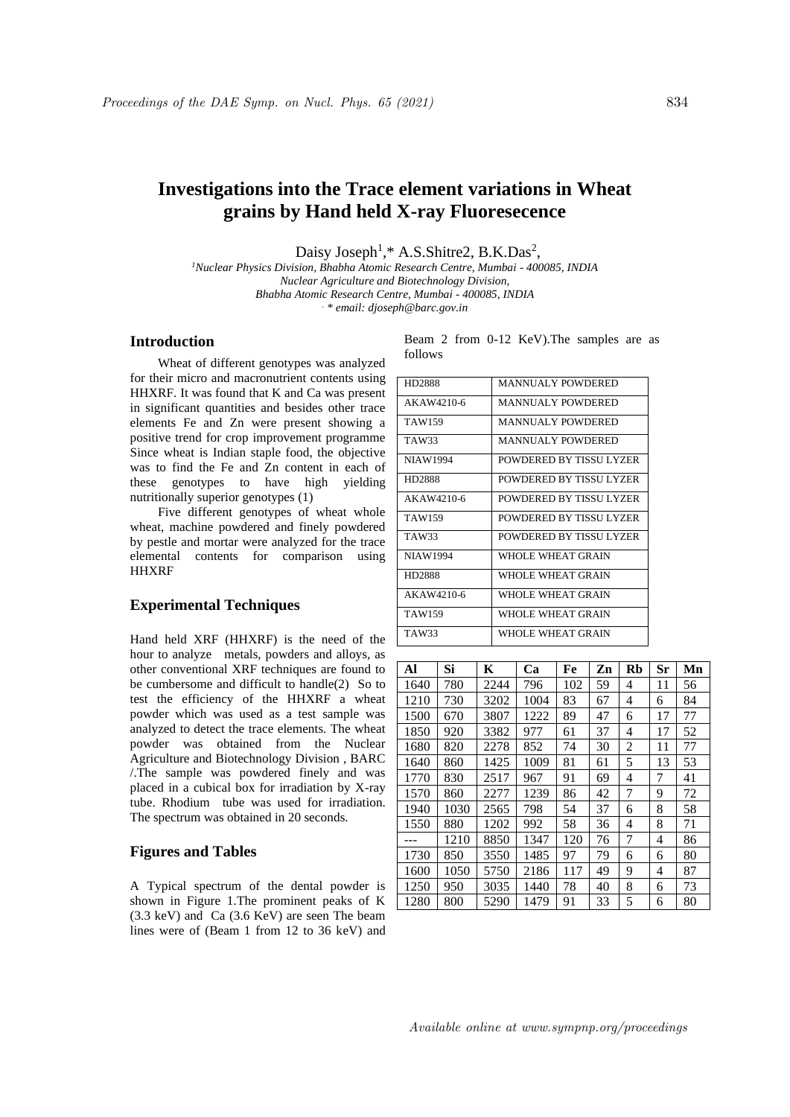# **Investigations into the Trace element variations in Wheat grains by Hand held X-ray Fluoresecence**

Daisy Joseph<sup>1</sup>,\* A.S.Shitre2, B.K.Das<sup>2</sup>,

*<sup>1</sup>Nuclear Physics Division, Bhabha Atomic Research Centre, Mumbai - 400085, INDIA Nuclear Agriculture and Biotechnology Division, Bhabha Atomic Research Centre, Mumbai - 400085, INDIA . \* email: djoseph@barc.gov.in*

# **Introduction**

Wheat of different genotypes was analyzed for their micro and macronutrient contents using HHXRF. It was found that K and Ca was present in significant quantities and besides other trace elements Fe and Zn were present showing a positive trend for crop improvement programme Since wheat is Indian staple food, the objective was to find the Fe and Zn content in each of these genotypes to have high yielding nutritionally superior genotypes (1)

Five different genotypes of wheat whole wheat, machine powdered and finely powdered by pestle and mortar were analyzed for the trace elemental contents for comparison using **HHXRF** 

### **Experimental Techniques**

Hand held XRF (HHXRF) is the need of the hour to analyze metals, powders and alloys, as other conventional XRF techniques are found to be cumbersome and difficult to handle(2) So to test the efficiency of the HHXRF a wheat powder which was used as a test sample was analyzed to detect the trace elements. The wheat powder was obtained from the Nuclear Agriculture and Biotechnology Division , BARC /.The sample was powdered finely and was placed in a cubical box for irradiation by X-ray tube. Rhodium tube was used for irradiation. The spectrum was obtained in 20 seconds.

### **Figures and Tables**

A Typical spectrum of the dental powder is shown in Figure 1.The prominent peaks of K (3.3 keV) and Ca (3.6 KeV) are seen The beam lines were of (Beam 1 from 12 to 36 keV) and Beam 2 from 0-12 KeV).The samples are as follows

| HD2888          | <b>MANNUALY POWDERED</b> |
|-----------------|--------------------------|
| AKAW4210-6      | <b>MANNUALY POWDERED</b> |
| TAW159          | <b>MANNUALY POWDERED</b> |
| TAW33           | <b>MANNUALY POWDERED</b> |
| <b>NIAW1994</b> | POWDERED BY TISSU LYZER  |
| HD2888          | POWDERED BY TISSU LYZER  |
| AKAW4210-6      | POWDERED BY TISSU LYZER  |
| TAW159          | POWDERED BY TISSU LYZER  |
| TAW33           | POWDERED BY TISSU LYZER  |
| <b>NIAW1994</b> | WHOLE WHEAT GRAIN        |
| <b>HD2888</b>   | WHOLE WHEAT GRAIN        |
| AKAW4210-6      | WHOLE WHEAT GRAIN        |
| TAW159          | WHOLE WHEAT GRAIN        |
| TAW33           | WHOLE WHEAT GRAIN        |

| Al   | Si   | K    | Ca   | Fe  | Zn | <b>Rb</b> | Sr | Mn |
|------|------|------|------|-----|----|-----------|----|----|
| 1640 | 780  | 2244 | 796  | 102 | 59 | 4         | 11 | 56 |
| 1210 | 730  | 3202 | 1004 | 83  | 67 | 4         | 6  | 84 |
| 1500 | 670  | 3807 | 1222 | 89  | 47 | 6         | 17 | 77 |
| 1850 | 920  | 3382 | 977  | 61  | 37 | 4         | 17 | 52 |
| 1680 | 820  | 2278 | 852  | 74  | 30 | 2         | 11 | 77 |
| 1640 | 860  | 1425 | 1009 | 81  | 61 | 5         | 13 | 53 |
| 1770 | 830  | 2517 | 967  | 91  | 69 | 4         | 7  | 41 |
| 1570 | 860  | 2277 | 1239 | 86  | 42 | 7         | 9  | 72 |
| 1940 | 1030 | 2565 | 798  | 54  | 37 | 6         | 8  | 58 |
| 1550 | 880  | 1202 | 992  | 58  | 36 | 4         | 8  | 71 |
|      | 1210 | 8850 | 1347 | 120 | 76 | 7         | 4  | 86 |
| 1730 | 850  | 3550 | 1485 | 97  | 79 | 6         | 6  | 80 |
| 1600 | 1050 | 5750 | 2186 | 117 | 49 | 9         | 4  | 87 |
| 1250 | 950  | 3035 | 1440 | 78  | 40 | 8         | 6  | 73 |
| 1280 | 800  | 5290 | 1479 | 91  | 33 | 5         | 6  | 80 |